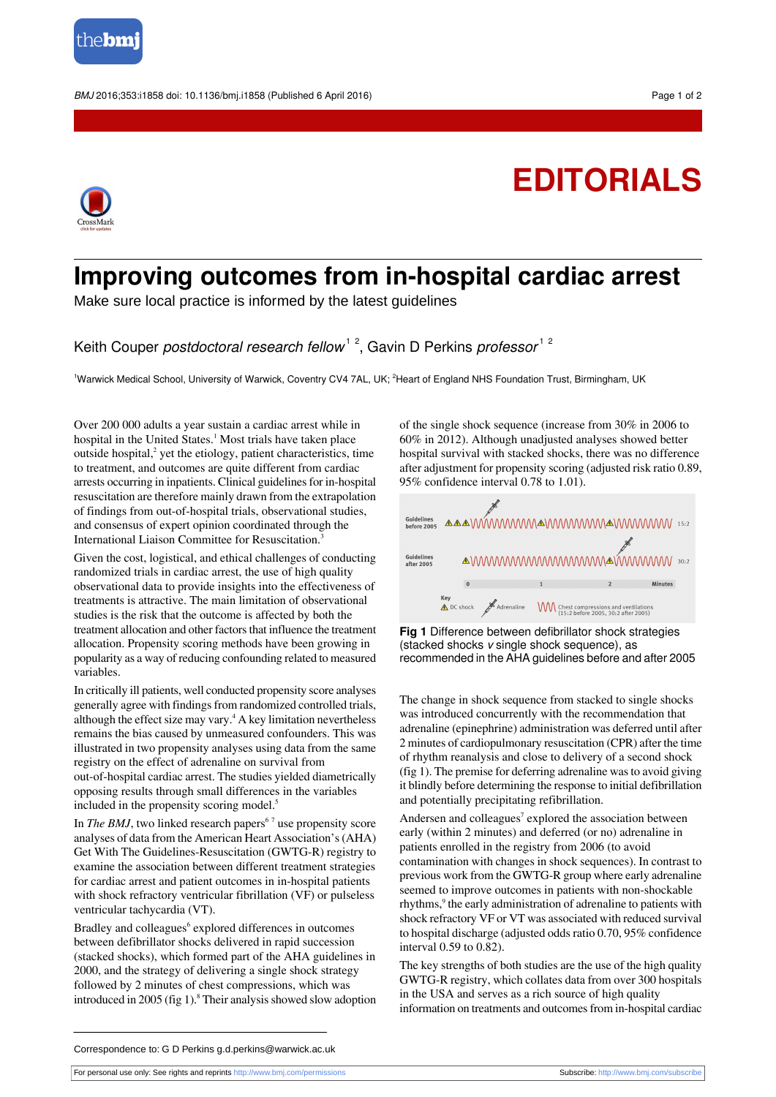

BMJ 2016:353:i1858 doi: 10.1136/bmj.i1858 (Published 6 April 2016) Page 1 of 2

## **EDITORIALS**



## **Improving outcomes from in-hospital cardiac arrest**

Make sure local practice is informed by the latest guidelines

Keith Couper *postdoctoral research fellow<sup>12</sup>*, Gavin D Perkins *professor<sup>12</sup>* 

<sup>1</sup>Warwick Medical School, University of Warwick, Coventry CV4 7AL, UK; <sup>2</sup>Heart of England NHS Foundation Trust, Birmingham, UK

Over 200 000 adults a year sustain a cardiac arrest while in hospital in the United States.<sup>1</sup> Most trials have taken place outside hospital,<sup>2</sup> yet the etiology, patient characteristics, time to treatment, and outcomes are quite different from cardiac arrests occurring in inpatients. Clinical guidelines for in-hospital resuscitation are therefore mainly drawn from the extrapolation of findings from out-of-hospital trials, observational studies, and consensus of expert opinion coordinated through the International Liaison Committee for Resuscitation.

Given the cost, logistical, and ethical challenges of conducting randomized trials in cardiac arrest, the use of high quality observational data to provide insights into the effectiveness of treatments is attractive. The main limitation of observational studies is the risk that the outcome is affected by both the treatment allocation and other factors that influence the treatment allocation. Propensity scoring methods have been growing in popularity as a way of reducing confounding related to measured variables.

In critically ill patients, well conducted propensity score analyses generally agree with findings from randomized controlled trials, although the effect size may vary. $4$  A key limitation nevertheless remains the bias caused by unmeasured confounders. This was illustrated in two propensity analyses using data from the same registry on the effect of adrenaline on survival from out-of-hospital cardiac arrest. The studies yielded diametrically opposing results through small differences in the variables included in the propensity scoring model.<sup>5</sup>

In *The BMJ*, two linked research papers<sup>67</sup> use propensity score analyses of data from the American Heart Association's(AHA) Get With The Guidelines-Resuscitation (GWTG-R) registry to examine the association between different treatment strategies for cardiac arrest and patient outcomes in in-hospital patients with shock refractory ventricular fibrillation (VF) or pulseless ventricular tachycardia (VT).

Bradley and colleagues<sup>6</sup> explored differences in outcomes between defibrillator shocks delivered in rapid succession (stacked shocks), which formed part of the AHA guidelines in 2000, and the strategy of delivering a single shock strategy followed by 2 minutes of chest compressions, which was introduced in 2005 (fig 1). $8$  Their analysis showed slow adoption of the single shock sequence (increase from 30% in 2006 to 60% in 2012). Although unadjusted analyses showed better hospital survival with stacked shocks, there was no difference after adjustment for propensity scoring (adjusted risk ratio 0.89, 95% confidence interval 0.78 to 1.01).



**Fig 1** Difference between defibrillator shock strategies (stacked shocks v single shock sequence), as recommended in the AHA guidelines before and after 2005

The change in shock sequence from stacked to single shocks was introduced concurrently with the recommendation that adrenaline (epinephrine) administration was deferred until after 2 minutes of cardiopulmonary resuscitation (CPR) after the time of rhythm reanalysis and close to delivery of a second shock (fig 1). The premise for deferring adrenaline wasto avoid giving it blindly before determining the response to initial defibrillation and potentially precipitating refibrillation.

Andersen and colleagues<sup>7</sup> explored the association between early (within 2 minutes) and deferred (or no) adrenaline in patients enrolled in the registry from 2006 (to avoid contamination with changes in shock sequences). In contrast to previous work from the GWTG-R group where early adrenaline seemed to improve outcomes in patients with non-shockable rhythms,<sup>9</sup> the early administration of adrenaline to patients with shock refractory VF or VT was associated with reduced survival to hospital discharge (adjusted odds ratio 0.70, 95% confidence interval 0.59 to 0.82).

The key strengths of both studies are the use of the high quality GWTG-R registry, which collates data from over 300 hospitals in the USA and serves as a rich source of high quality information on treatments and outcomes from in-hospital cardiac

Correspondence to: G D Perkins g.d.perkins@warwick.ac.uk